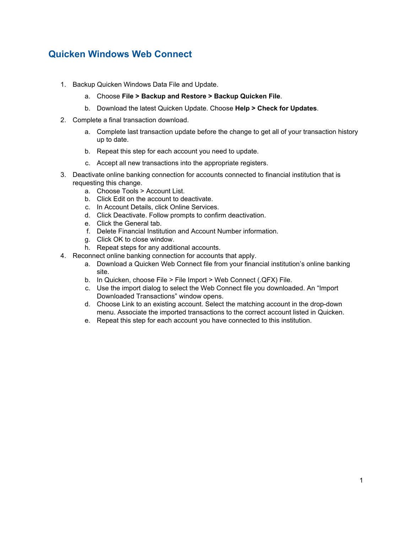## **Quicken Windows Web Connect**

- 1. Backup Quicken Windows Data File and Update.
	- a. Choose **File > Backup and Restore > Backup Quicken File**.
	- b. Download the latest Quicken Update. Choose **Help > Check for Updates**.
- 2. Complete a final transaction download.
	- a. Complete last transaction update before the change to get all of your transaction history up to date.
	- b. Repeat this step for each account you need to update.
	- c. Accept all new transactions into the appropriate registers.
- 3. Deactivate online banking connection for accounts connected to financial institution that is requesting this change.
	- a. Choose Tools > Account List.
	- b. Click Edit on the account to deactivate.
	- c. In Account Details, click Online Services.
	- d. Click Deactivate. Follow prompts to confirm deactivation.
	- e. Click the General tab.
	- f. Delete Financial Institution and Account Number information.
	- g. Click OK to close window.
	- h. Repeat steps for any additional accounts.
- 4. Reconnect online banking connection for accounts that apply.
	- a. Download a Quicken Web Connect file from your financial institution's online banking site.
	- b. In Quicken, choose File > File Import > Web Connect (.QFX) File.
	- c. Use the import dialog to select the Web Connect file you downloaded. An "Import Downloaded Transactions" window opens.
	- d. Choose Link to an existing account. Select the matching account in the drop-down menu. Associate the imported transactions to the correct account listed in Quicken.
	- e. Repeat this step for each account you have connected to this institution.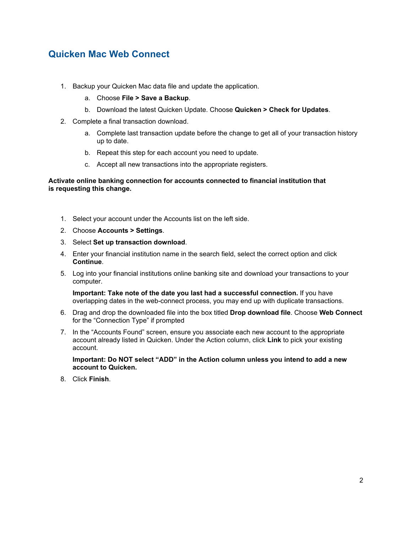### **Quicken Mac Web Connect**

- 1. Backup your Quicken Mac data file and update the application.
	- a. Choose **File > Save a Backup**.
	- b. Download the latest Quicken Update. Choose **Quicken > Check for Updates**.
- 2. Complete a final transaction download.
	- a. Complete last transaction update before the change to get all of your transaction history up to date.
	- b. Repeat this step for each account you need to update.
	- c. Accept all new transactions into the appropriate registers.

### **Activate online banking connection for accounts connected to financial institution that is requesting this change.**

- 1. Select your account under the Accounts list on the left side.
- 2. Choose **Accounts > Settings**.
- 3. Select **Set up transaction download**.
- 4. Enter your financial institution name in the search field, select the correct option and click **Continue**.
- 5. Log into your financial institutions online banking site and download your transactions to your computer.

**Important: Take note of the date you last had a successful connection.** If you have overlapping dates in the web-connect process, you may end up with duplicate transactions.

- 6. Drag and drop the downloaded file into the box titled **Drop download file**. Choose **Web Connect** for the "Connection Type" if prompted
- 7. In the "Accounts Found" screen, ensure you associate each new account to the appropriate account already listed in Quicken. Under the Action column, click **Link** to pick your existing account.

**Important: Do NOT select "ADD" in the Action column unless you intend to add a new account to Quicken.**

8. Click **Finish**.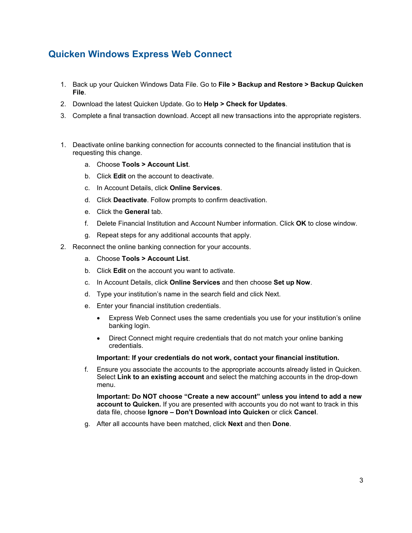# **Quicken Windows Express Web Connect**

- 1. Back up your Quicken Windows Data File. Go to **File > Backup and Restore > Backup Quicken File**.
- 2. Download the latest Quicken Update. Go to **Help > Check for Updates**.
- 3. Complete a final transaction download. Accept all new transactions into the appropriate registers.
- 1. Deactivate online banking connection for accounts connected to the financial institution that is requesting this change.
	- a. Choose **Tools > Account List**.
	- b. Click **Edit** on the account to deactivate.
	- c. In Account Details, click **Online Services**.
	- d. Click **Deactivate**. Follow prompts to confirm deactivation.
	- e. Click the **General** tab.
	- f. Delete Financial Institution and Account Number information. Click **OK** to close window.
	- g. Repeat steps for any additional accounts that apply.
- 2. Reconnect the online banking connection for your accounts.
	- a. Choose **Tools > Account List**.
	- b. Click **Edit** on the account you want to activate.
	- c. In Account Details, click **Online Services** and then choose **Set up Now**.
	- d. Type your institution's name in the search field and click Next.
	- e. Enter your financial institution credentials.
		- Express Web Connect uses the same credentials you use for your institution's online banking login.
		- Direct Connect might require credentials that do not match your online banking credentials.

### **Important: If your credentials do not work, contact your financial institution.**

f. Ensure you associate the accounts to the appropriate accounts already listed in Quicken. Select **Link to an existing account** and select the matching accounts in the drop-down menu.

**Important: Do NOT choose "Create a new account" unless you intend to add a new account to Quicken.** If you are presented with accounts you do not want to track in this data file, choose **Ignore – Don't Download into Quicken** or click **Cancel**.

g. After all accounts have been matched, click **Next** and then **Done**.